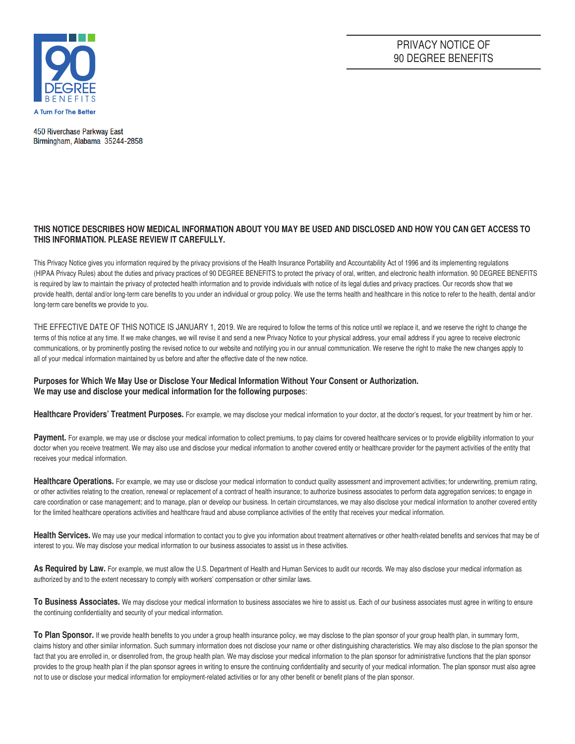

PRIVACY NOTICE OF 90 DEGREE BENEFITS

450 Riverchase Parkway East Birmingham, Alabama 35244-2858

# **THIS NOTICE DESCRIBES HOW MEDICAL INFORMATION ABOUT YOU MAY BE USED AND DISCLOSED AND HOW YOU CAN GET ACCESS TO THIS INFORMATION. PLEASE REVIEW IT CAREFULLY.**

This Privacy Notice gives you information required by the privacy provisions of the Health Insurance Portability and Accountability Act of 1996 and its implementing regulations (HIPAA Privacy Rules) about the duties and privacy practices of 90 DEGREE BENEFITS to protect the privacy of oral, written, and electronic health information. 90 DEGREE BENEFITS is required by law to maintain the privacy of protected health information and to provide individuals with notice of its legal duties and privacy practices. Our records show that we provide health, dental and/or long-term care benefits to you under an individual or group policy. We use the terms health and healthcare in this notice to refer to the health, dental and/or long-term care benefits we provide to you.

THE EFFECTIVE DATE OF THIS NOTICE IS JANUARY 1, 2019. We are required to follow the terms of this notice until we replace it, and we reserve the right to change the terms of this notice at any time. If we make changes, we will revise it and send a new Privacy Notice to your physical address, your email address if you agree to receive electronic communications, or by prominently posting the revised notice to our website and notifying you in our annual communication. We reserve the right to make the new changes apply to all of your medical information maintained by us before and after the effective date of the new notice.

## **Purposes for Which We May Use or Disclose Your Medical Information Without Your Consent or Authorization. We may use and disclose your medical information for the following purpose**s:

Healthcare Providers' Treatment Purposes. For example, we may disclose your medical information to your doctor, at the doctor's request, for your treatment by him or her.

Payment. For example, we may use or disclose your medical information to collect premiums, to pay claims for covered healthcare services or to provide eligibility information to your doctor when you receive treatment. We may also use and disclose your medical information to another covered entity or healthcare provider for the payment activities of the entity that receives your medical information.

Healthcare Operations. For example, we may use or disclose your medical information to conduct quality assessment and improvement activities; for underwriting, premium rating, or other activities relating to the creation, renewal or replacement of a contract of health insurance; to authorize business associates to perform data aggregation services; to engage in care coordination or case management; and to manage, plan or develop our business. In certain circumstances, we may also disclose your medical information to another covered entity for the limited healthcare operations activities and healthcare fraud and abuse compliance activities of the entity that receives your medical information.

Health Services. We may use your medical information to contact you to give you information about treatment alternatives or other health-related benefits and services that may be of interest to you. We may disclose your medical information to our business associates to assist us in these activities.

As Required by Law. For example, we must allow the U.S. Department of Health and Human Services to audit our records. We may also disclose your medical information as authorized by and to the extent necessary to comply with workers' compensation or other similar laws.

To Business Associates. We may disclose your medical information to business associates we hire to assist us. Each of our business associates must agree in writing to ensure the continuing confidentiality and security of your medical information.

To Plan Sponsor. If we provide health benefits to you under a group health insurance policy, we may disclose to the plan sponsor of your group health plan, in summary form, claims history and other similar information. Such summary information does not disclose your name or other distinguishing characteristics. We may also disclose to the plan sponsor the fact that you are enrolled in, or disenrolled from, the group health plan. We may disclose your medical information to the plan sponsor for administrative functions that the plan sponsor provides to the group health plan if the plan sponsor agrees in writing to ensure the continuing confidentiality and security of your medical information. The plan sponsor must also agree not to use or disclose your medical information for employment-related activities or for any other benefit or benefit plans of the plan sponsor.